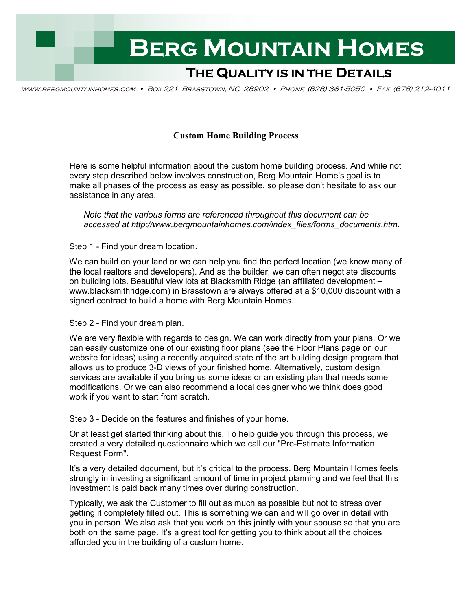

www.bergmountainhomes.com • Box 221 Brasstown, NC 28902 • Phone (828) 361-5050 • Fax (678) 212-4011

# **Custom Home Building Process**

Here is some helpful information about the custom home building process. And while not every step described below involves construction, Berg Mountain Home's goal is to make all phases of the process as easy as possible, so please don't hesitate to ask our assistance in any area.

 *Note that the various forms are referenced throughout this document can be accessed at http://www.bergmountainhomes.com/index\_files/forms\_documents.htm.*

## Step 1 - Find your dream location.

We can build on your land or we can help you find the perfect location (we know many of the local realtors and developers). And as the builder, we can often negotiate discounts on building lots. Beautiful view lots at Blacksmith Ridge (an affiliated development – www.blacksmithridge.com) in Brasstown are always offered at a \$10,000 discount with a signed contract to build a home with Berg Mountain Homes.

## Step 2 - Find your dream plan.

We are very flexible with regards to design. We can work directly from your plans. Or we can easily customize one of our existing floor plans (see the Floor Plans page on our website for ideas) using a recently acquired state of the art building design program that allows us to produce 3-D views of your finished home. Alternatively, custom design services are available if you bring us some ideas or an existing plan that needs some modifications. Or we can also recommend a local designer who we think does good work if you want to start from scratch.

## Step 3 - Decide on the features and finishes of your home.

Or at least get started thinking about this. To help guide you through this process, we created a very detailed questionnaire which we call our "Pre-Estimate Information Request Form".

It's a very detailed document, but it's critical to the process. Berg Mountain Homes feels strongly in investing a significant amount of time in project planning and we feel that this investment is paid back many times over during construction.

Typically, we ask the Customer to fill out as much as possible but not to stress over getting it completely filled out. This is something we can and will go over in detail with you in person. We also ask that you work on this jointly with your spouse so that you are both on the same page. It's a great tool for getting you to think about all the choices afforded you in the building of a custom home.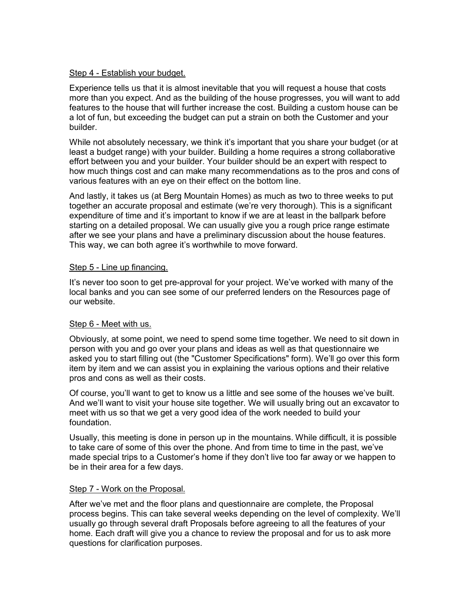## Step 4 - Establish your budget.

Experience tells us that it is almost inevitable that you will request a house that costs more than you expect. And as the building of the house progresses, you will want to add features to the house that will further increase the cost. Building a custom house can be a lot of fun, but exceeding the budget can put a strain on both the Customer and your builder.

While not absolutely necessary, we think it's important that you share your budget (or at least a budget range) with your builder. Building a home requires a strong collaborative effort between you and your builder. Your builder should be an expert with respect to how much things cost and can make many recommendations as to the pros and cons of various features with an eye on their effect on the bottom line.

And lastly, it takes us (at Berg Mountain Homes) as much as two to three weeks to put together an accurate proposal and estimate (we're very thorough). This is a significant expenditure of time and it's important to know if we are at least in the ballpark before starting on a detailed proposal. We can usually give you a rough price range estimate after we see your plans and have a preliminary discussion about the house features. This way, we can both agree it's worthwhile to move forward.

## Step 5 - Line up financing.

It's never too soon to get pre-approval for your project. We've worked with many of the local banks and you can see some of our preferred lenders on the Resources page of our website.

## Step 6 - Meet with us.

Obviously, at some point, we need to spend some time together. We need to sit down in person with you and go over your plans and ideas as well as that questionnaire we asked you to start filling out (the "Customer Specifications" form). We'll go over this form item by item and we can assist you in explaining the various options and their relative pros and cons as well as their costs.

Of course, you'll want to get to know us a little and see some of the houses we've built. And we'll want to visit your house site together. We will usually bring out an excavator to meet with us so that we get a very good idea of the work needed to build your foundation.

Usually, this meeting is done in person up in the mountains. While difficult, it is possible to take care of some of this over the phone. And from time to time in the past, we've made special trips to a Customer's home if they don't live too far away or we happen to be in their area for a few days.

## Step 7 - Work on the Proposal.

After we've met and the floor plans and questionnaire are complete, the Proposal process begins. This can take several weeks depending on the level of complexity. We'll usually go through several draft Proposals before agreeing to all the features of your home. Each draft will give you a chance to review the proposal and for us to ask more questions for clarification purposes.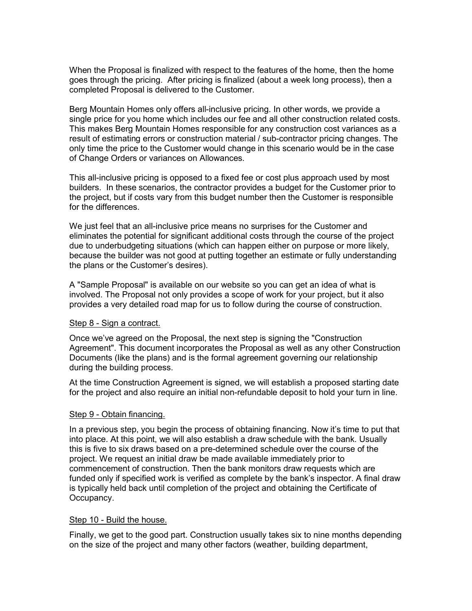When the Proposal is finalized with respect to the features of the home, then the home goes through the pricing. After pricing is finalized (about a week long process), then a completed Proposal is delivered to the Customer.

Berg Mountain Homes only offers all-inclusive pricing. In other words, we provide a single price for you home which includes our fee and all other construction related costs. This makes Berg Mountain Homes responsible for any construction cost variances as a result of estimating errors or construction material / sub-contractor pricing changes. The only time the price to the Customer would change in this scenario would be in the case of Change Orders or variances on Allowances.

This all-inclusive pricing is opposed to a fixed fee or cost plus approach used by most builders. In these scenarios, the contractor provides a budget for the Customer prior to the project, but if costs vary from this budget number then the Customer is responsible for the differences.

We just feel that an all-inclusive price means no surprises for the Customer and eliminates the potential for significant additional costs through the course of the project due to underbudgeting situations (which can happen either on purpose or more likely, because the builder was not good at putting together an estimate or fully understanding the plans or the Customer's desires).

A "Sample Proposal" is available on our website so you can get an idea of what is involved. The Proposal not only provides a scope of work for your project, but it also provides a very detailed road map for us to follow during the course of construction.

## Step 8 - Sign a contract.

Once we've agreed on the Proposal, the next step is signing the "Construction Agreement". This document incorporates the Proposal as well as any other Construction Documents (like the plans) and is the formal agreement governing our relationship during the building process.

At the time Construction Agreement is signed, we will establish a proposed starting date for the project and also require an initial non-refundable deposit to hold your turn in line.

#### Step 9 - Obtain financing.

In a previous step, you begin the process of obtaining financing. Now it's time to put that into place. At this point, we will also establish a draw schedule with the bank. Usually this is five to six draws based on a pre-determined schedule over the course of the project. We request an initial draw be made available immediately prior to commencement of construction. Then the bank monitors draw requests which are funded only if specified work is verified as complete by the bank's inspector. A final draw is typically held back until completion of the project and obtaining the Certificate of Occupancy.

#### Step 10 - Build the house.

Finally, we get to the good part. Construction usually takes six to nine months depending on the size of the project and many other factors (weather, building department,